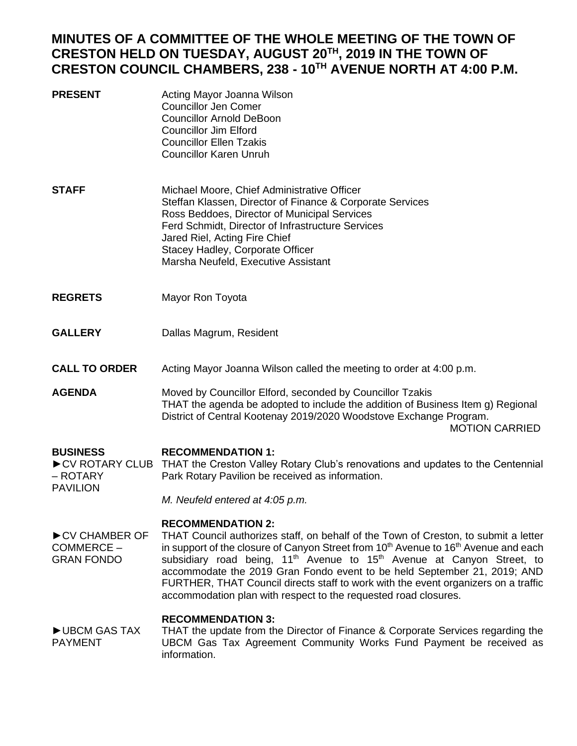# **MINUTES OF A COMMITTEE OF THE WHOLE MEETING OF THE TOWN OF CRESTON HELD ON TUESDAY, AUGUST 20TH, 2019 IN THE TOWN OF CRESTON COUNCIL CHAMBERS, 238 - 10TH AVENUE NORTH AT 4:00 P.M.**

| Acting Mayor Joanna Wilson |
|----------------------------|
|                            |
| Councillor Arnold DeBoon   |
|                            |
|                            |
|                            |
|                            |

- **STAFF** Michael Moore, Chief Administrative Officer Steffan Klassen, Director of Finance & Corporate Services Ross Beddoes, Director of Municipal Services Ferd Schmidt, Director of Infrastructure Services Jared Riel, Acting Fire Chief Stacey Hadley, Corporate Officer Marsha Neufeld, Executive Assistant
- **REGRETS** Mayor Ron Toyota
- **GALLERY** Dallas Magrum, Resident

#### **CALL TO ORDER** Acting Mayor Joanna Wilson called the meeting to order at 4:00 p.m.

**AGENDA** Moved by Councillor Elford, seconded by Councillor Tzakis THAT the agenda be adopted to include the addition of Business Item g) Regional District of Central Kootenay 2019/2020 Woodstove Exchange Program. MOTION CARRIED

#### **BUSINESS RECOMMENDATION 1:**

► CV ROTARY CLUB THAT the Creston Valley Rotary Club's renovations and updates to the Centennial – ROTARY PAVILION Park Rotary Pavilion be received as information.

*M. Neufeld entered at 4:05 p.m.*

# **RECOMMENDATION 2:**

►CV CHAMBER OF COMMERCE – GRAN FONDO THAT Council authorizes staff, on behalf of the Town of Creston, to submit a letter in support of the closure of Canyon Street from 10<sup>th</sup> Avenue to 16<sup>th</sup> Avenue and each subsidiary road being,  $11<sup>th</sup>$  Avenue to  $15<sup>th</sup>$  Avenue at Canyon Street, to accommodate the 2019 Gran Fondo event to be held September 21, 2019; AND FURTHER, THAT Council directs staff to work with the event organizers on a traffic accommodation plan with respect to the requested road closures.

# **RECOMMENDATION 3:**

►UBCM GAS TAX PAYMENT THAT the update from the Director of Finance & Corporate Services regarding the UBCM Gas Tax Agreement Community Works Fund Payment be received as information.